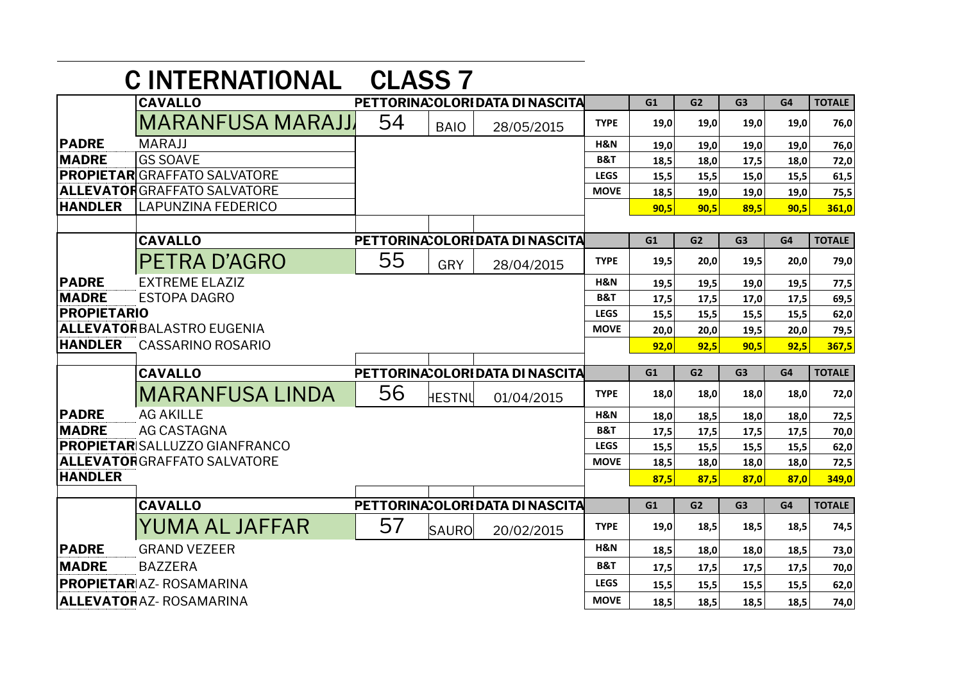|                        | <b>C INTERNATIONAL</b>               | <b>CLASS 7</b> |              |                                  |                |      |                |                |      |               |
|------------------------|--------------------------------------|----------------|--------------|----------------------------------|----------------|------|----------------|----------------|------|---------------|
|                        | <b>CAVALLO</b>                       |                |              | PETTORINA: OLORIDATA DI NASCITA  |                | G1   | G <sub>2</sub> | G <sub>3</sub> | G4   | <b>TOTALE</b> |
|                        | MARANFUSA MARAJJ                     | 54             | <b>BAIO</b>  | 28/05/2015                       | <b>TYPE</b>    | 19,0 | 19,0           | 19,0           | 19,0 | 76,0          |
| <b>PADRE</b>           | <b>MARAJJ</b>                        |                |              |                                  | H&N            | 19,0 | 19,0           | 19,0           | 19,0 | 76,0          |
| <b>MADRE</b>           | <b>GS SOAVE</b>                      |                |              |                                  | <b>B&amp;T</b> | 18,5 | 18,0           | 17,5           | 18,0 | 72,0          |
|                        | PROPIETAR GRAFFATO SALVATORE         |                |              |                                  | <b>LEGS</b>    | 15,5 | 15,5           | 15,0           | 15,5 | 61,5          |
|                        | <b>ALLEVATOR</b> GRAFFATO SALVATORE  |                |              |                                  | <b>MOVE</b>    | 18,5 | 19,0           | 19,0           | 19,0 | 75,5          |
| <b>HANDLER</b>         | <b>LAPUNZINA FEDERICO</b>            |                |              |                                  |                | 90,5 | 90,5           | 89,5           | 90,5 | 361,0         |
|                        |                                      |                |              |                                  |                |      |                |                |      |               |
|                        | <b>CAVALLO</b>                       |                |              | PETTORINA: OLORI DATA DI NASCITA |                | G1   | G2             | G <sub>3</sub> | G4   | <b>TOTALE</b> |
|                        | PETRA D'AGRO                         | 55             | GRY          | 28/04/2015                       | <b>TYPE</b>    | 19,5 | 20,0           | 19,5           | 20,0 | 79,0          |
| <b>PADRE</b>           | <b>EXTREME ELAZIZ</b>                |                |              |                                  | H&N            | 19,5 | 19,5           | 19,0           | 19,5 | 77,5          |
| <b>MADRE</b>           | <b>ESTOPA DAGRO</b>                  |                |              |                                  | <b>B&amp;T</b> | 17,5 | 17,5           | 17,0           | 17,5 | 69,5          |
| <b>PROPIETARIO</b>     |                                      |                |              |                                  | <b>LEGS</b>    | 15,5 | 15,5           | 15,5           | 15,5 | 62,0          |
|                        | <b>ALLEVATOR</b> BALASTRO EUGENIA    |                |              |                                  | <b>MOVE</b>    | 20,0 | 20,0           | 19,5           | 20,0 | 79,5          |
| <b>HANDLER</b>         | <b>CASSARINO ROSARIO</b>             |                |              |                                  |                | 92,0 | 92,5           | 90,5           | 92,5 | 367,5         |
|                        | <b>CAVALLO</b>                       |                |              | PETTORINA: OLORI DATA DI NASCITA |                | G1   | G <sub>2</sub> | G <sub>3</sub> | G4   | <b>TOTALE</b> |
|                        | <b>MARANFUSA LINDA</b>               | 56             | HESTNU       | 01/04/2015                       | <b>TYPE</b>    | 18,0 | 18,0           | 18,0           | 18,0 | 72,0          |
| <b>PADRE</b>           | <b>AG AKILLE</b>                     |                |              |                                  | H&N            | 18,0 | 18,5           | 18,0           | 18,0 | 72,5          |
| <b>MADRE</b>           | <b>AG CASTAGNA</b>                   |                |              |                                  | <b>B&amp;T</b> | 17,5 | 17,5           | 17,5           | 17,5 | 70,0          |
|                        | <b>PROPIETAR</b> SALLUZZO GIANFRANCO |                |              |                                  | <b>LEGS</b>    | 15,5 | 15,5           | 15,5           | 15,5 | 62,0          |
|                        | <b>ALLEVATORGRAFFATO SALVATORE</b>   |                |              |                                  | <b>MOVE</b>    | 18,5 | 18,0           | 18,0           | 18,0 | 72,5          |
| <b>HANDLER</b>         |                                      |                |              |                                  |                | 87.5 | 87,5           | 87,0           | 87.0 | 349,0         |
|                        | <b>CAVALLO</b>                       |                |              | PETTORINA: OLORI DATA DI NASCITA |                | G1   | G <sub>2</sub> | G <sub>3</sub> | G4   | <b>TOTALE</b> |
|                        | YUMA AL JAFFAR                       | 57             | <b>SAURO</b> | 20/02/2015                       | <b>TYPE</b>    | 19,0 | 18,5           | 18,5           | 18,5 | 74,5          |
| <b>PADRE</b>           | <b>GRAND VEZEER</b>                  |                |              |                                  | H&N            | 18,5 | 18,0           | 18.0           | 18.5 | 73,0          |
| <b>MADRE</b>           | <b>BAZZERA</b>                       |                |              |                                  | <b>B&amp;T</b> | 17,5 | 17,5           | 17,5           | 17,5 | 70,0          |
|                        | <b>PROPIETAR</b> AZ- ROSAMARINA      |                |              |                                  | <b>LEGS</b>    | 15,5 | 15,5           | 15,5           | 15,5 | 62,0          |
| ALLEVATORAZ-ROSAMARINA |                                      |                |              | <b>MOVE</b>                      | 18.5           | 18,5 | 18,5           | 18.5           | 74,0 |               |